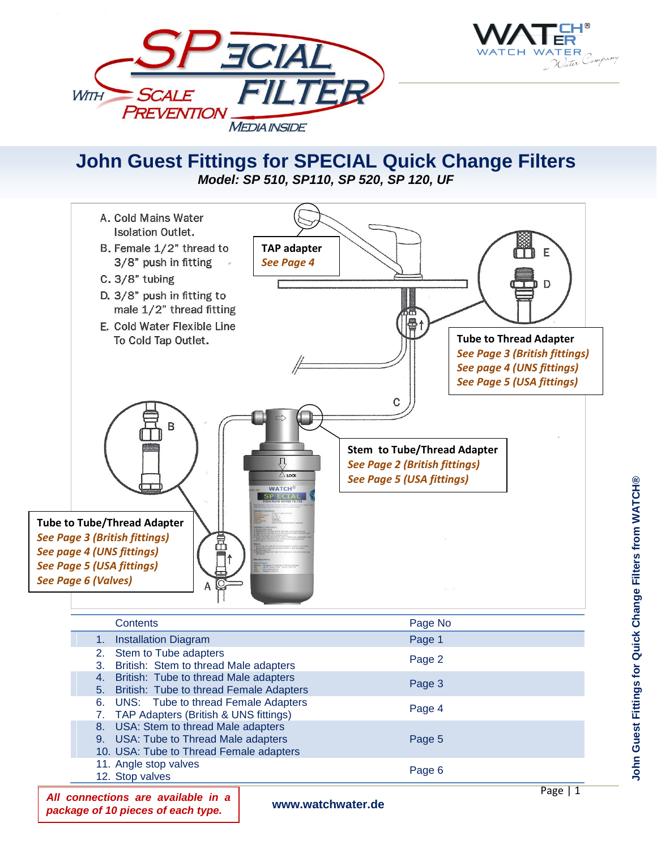



## **John Guest Fittings for SPECIAL Quick Change Filters** *Model: SP 510, SP110, SP 520, SP 120, UF*



|  | <b>Contents</b>                                                                                                         | Page No |
|--|-------------------------------------------------------------------------------------------------------------------------|---------|
|  | <b>Installation Diagram</b>                                                                                             | Page 1  |
|  | 2. Stem to Tube adapters<br>3. British: Stem to thread Male adapters                                                    | Page 2  |
|  | 4. British: Tube to thread Male adapters<br>5. British: Tube to thread Female Adapters                                  | Page 3  |
|  | 6. UNS: Tube to thread Female Adapters<br>7. TAP Adapters (British & UNS fittings)                                      | Page 4  |
|  | 8. USA: Stem to thread Male adapters<br>9. USA: Tube to Thread Male adapters<br>10. USA: Tube to Thread Female adapters | Page 5  |
|  | 11. Angle stop valves<br>12. Stop valves                                                                                | Page 6  |

*All connections are available in a package of 10 pieces of each type.*

**www.watchwater.de**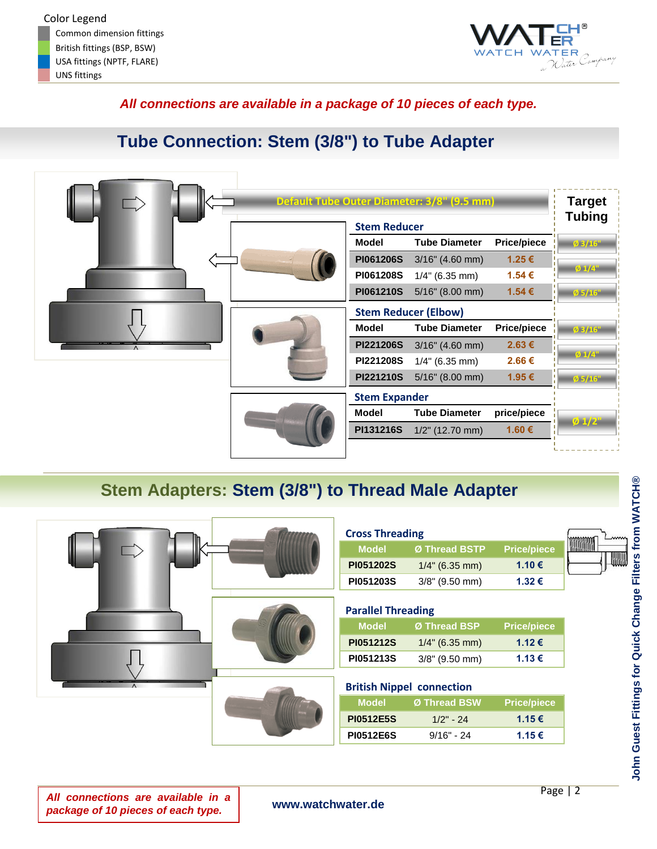

## *All connections are available in a package of 10 pieces of each type.*

# **Tube Connection: Stem (3/8") to Tube Adapter**

|           | <b>Stem Reducer</b>  | Default Tube Outer Diameter: 3/8" (9.5 mm) |                    | <b>Target</b><br><b>Tubing</b> |
|-----------|----------------------|--------------------------------------------|--------------------|--------------------------------|
|           | Model                | <b>Tube Diameter</b>                       | <b>Price/piece</b> | $\emptyset$ 3/16"              |
|           | <b>PI061206S</b>     | $3/16$ " (4.60 mm)                         | 1.25€              |                                |
|           | PI061208S            | $1/4$ " (6.35 mm)                          | 1.54 €             | $01/4$ "                       |
|           | PI061210S            | $5/16$ " (8.00 mm)                         | 1.54 €             | Ø 5/16'                        |
|           |                      | <b>Stem Reducer (Elbow)</b>                |                    |                                |
|           | Model                | <b>Tube Diameter</b>                       | <b>Price/piece</b> | $\emptyset$ 3/16"              |
| $\Lambda$ | <b>PI221206S</b>     | $3/16$ " (4.60 mm)                         | 2.63€              |                                |
|           | PI221208S            | $1/4$ " (6.35 mm)                          | 2.66€              | $01/4$ "                       |
|           | PI221210S            | $5/16$ " (8.00 mm)                         | 1.95€              | $\emptyset$ 5/16"              |
|           | <b>Stem Expander</b> |                                            |                    |                                |
|           | <b>Model</b>         | <b>Tube Diameter</b>                       | price/piece        |                                |
|           | PI131216S            | $1/2$ " (12.70 mm)                         | 1.60 €             | $\frac{6}{2}$ 1/2"             |
|           |                      |                                            |                    |                                |

# **Stem Adapters: Stem (3/8") to Thread Male Adapter**

|  | <b>Cross Threading</b><br><b>Model</b><br><b>PI051202S</b><br>PI051203S | Ø Thread BSTP<br>$1/4$ " (6.35 mm)<br>3/8" (9.50 mm)                            | <b>Price/piece</b><br>1.10€<br>1.32€ | www |
|--|-------------------------------------------------------------------------|---------------------------------------------------------------------------------|--------------------------------------|-----|
|  | <b>Parallel Threading</b><br><b>Model</b><br>PI051212S<br>PI051213S     | Ø Thread BSP<br>$1/4$ " (6.35 mm)<br>$3/8$ " (9.50 mm)                          | <b>Price/piece</b><br>1.12€<br>1.13€ |     |
|  | <b>Model</b><br><b>PI0512E5S</b><br><b>PI0512E6S</b>                    | <b>British Nippel connection</b><br>Ø Thread BSW<br>$1/2" - 24$<br>$9/16" - 24$ | <b>Price/piece</b><br>1.15€<br>1.15€ |     |

*All connections are available in a package of 10 pieces of each type.*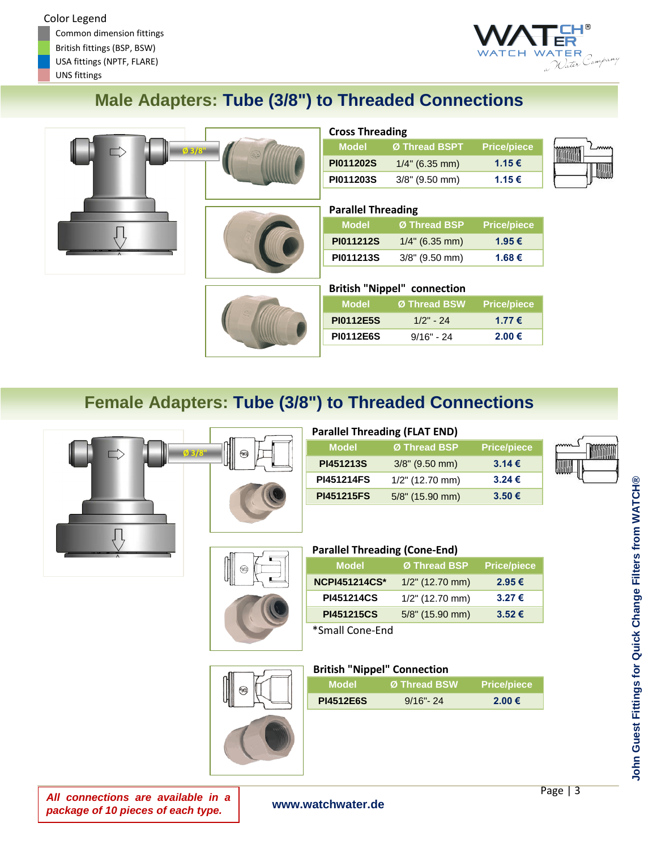Common dimension fittings British fittings (BSP, BSW) USA fittings (NPTF, FLARE)





# **Male Adapters: Tube (3/8") to Threaded Connections**

|                     | Ø 3/8" |
|---------------------|--------|
|                     |        |
| $\overline{\wedge}$ |        |



| <b>Cross Threading</b> |                   |                    |  |
|------------------------|-------------------|--------------------|--|
| <b>Model</b>           | Ø Thread BSPT     | <b>Price/piece</b> |  |
| PI011202S              | $1/4$ " (6.35 mm) | 1.15€              |  |
| PI011203S              | $3/8$ " (9.50 mm) | 1.15€              |  |

## **Parallel Threading**

| Model            | Ø Thread BSP      | Price/piece |
|------------------|-------------------|-------------|
| <b>PI011212S</b> | $1/4$ " (6.35 mm) | 1.95 €      |
| PI011213S        | $3/8$ " (9.50 mm) | 1.68 €      |



## **British "Nippel" connection**

| Model            | Ø Thread BSW | <b>Price/piece</b> |
|------------------|--------------|--------------------|
| <b>PI0112E5S</b> | $1/2" - 24$  | 1.77 €             |
| <b>PI0112E6S</b> | $9/16" - 24$ | 2.00 €             |

# **Female Adapters: Tube (3/8") to Threaded Connections**





|                   | <b>Parallel Threading (FLAT END)</b> |                    |  |
|-------------------|--------------------------------------|--------------------|--|
| <b>Model</b>      | Ø Thread BSP                         | <b>Price/piece</b> |  |
| PI451213S         | $3/8$ " (9.50 mm)                    | $3.14 \in$         |  |
| <b>PI451214FS</b> | $1/2$ " (12.70 mm)                   | $3.24 \in$         |  |
| <b>PI451215FS</b> | 5/8" (15.90 mm)                      | $3.50 \in$         |  |



## **Parallel Threading (Cone-End)**

| <b>Model</b>         | Ø Thread BSP       | <b>Price/piece</b> |
|----------------------|--------------------|--------------------|
| <b>NCPI451214CS*</b> | $1/2$ " (12.70 mm) | 2.95 €             |
| <b>PI451214CS</b>    | $1/2$ " (12.70 mm) | 3.27€              |
| <b>PI451215CS</b>    | 5/8" (15.90 mm)    | $3.52 \in$         |
| *Small Cone-End      |                    |                    |



| <b>British "Nippel" Connection</b> |                     |
|------------------------------------|---------------------|
| Model                              | <b>Ø Thread RSW</b> |

| Model            | Ø Thread BSW. | <b>Price/piece</b> |
|------------------|---------------|--------------------|
| <b>PI4512E6S</b> | $9/16" - 24$  | 2.00 €             |

**MANA** 

*All connections are available in a package of 10 pieces of each type.*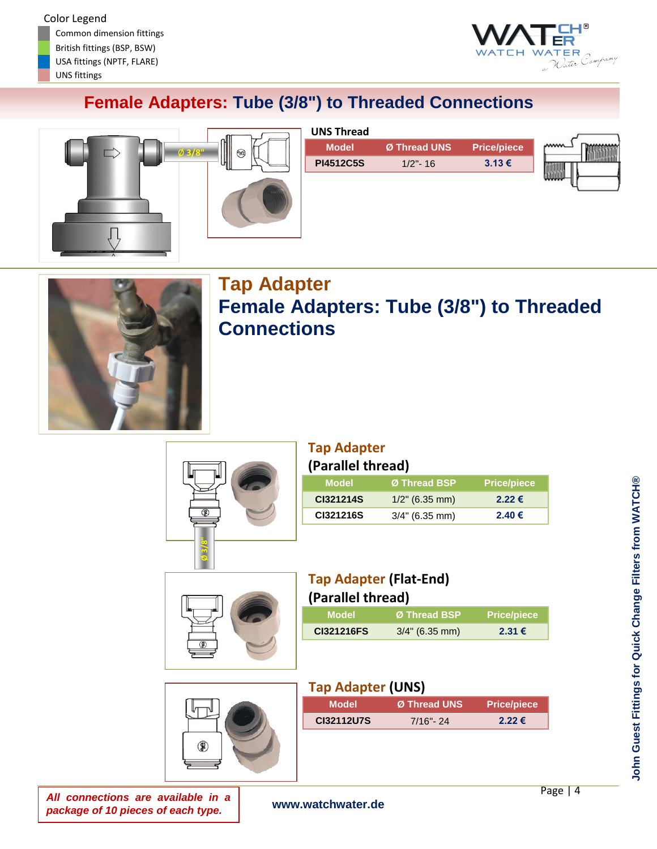

# **Female Adapters: Tube (3/8") to Threaded Connections**



| Ø Thread UNS |                    | mm |
|--------------|--------------------|----|
|              | <b>Price/piece</b> |    |
| $1/2$ "- 16  | 3.13€              |    |
|              |                    |    |
|              |                    |    |



# **Tap Adapter Female Adapters: Tube (3/8") to Threaded Connections**



## **Tap Adapter (Parallel thread)**

| <b>Model</b> | Ø Thread BSP      | <b>Price/piece</b> |
|--------------|-------------------|--------------------|
| CI321214S    | $1/2$ " (6.35 mm) | $2.22 \notin$      |
| CI321216S    | $3/4$ " (6.35 mm) | 2.40€              |
|              |                   |                    |



## **Tap Adapter (Flat-End) (Parallel thread)**

| Ø Thread BSP      | <b>Price/piece</b> |
|-------------------|--------------------|
| $3/4$ " (6.35 mm) | 2.31€              |
|                   | ,. a. ac.  caa,    |

# இ

| <b>Tap Adapter (UNS)</b> |              |                    |
|--------------------------|--------------|--------------------|
| Model                    | Ø Thread UNS | <b>Price/piece</b> |
| CI32112U7S               | $7/16" - 24$ | $2.22 \in$         |
|                          |              |                    |

*All connections are available in a package of 10 pieces of each type.*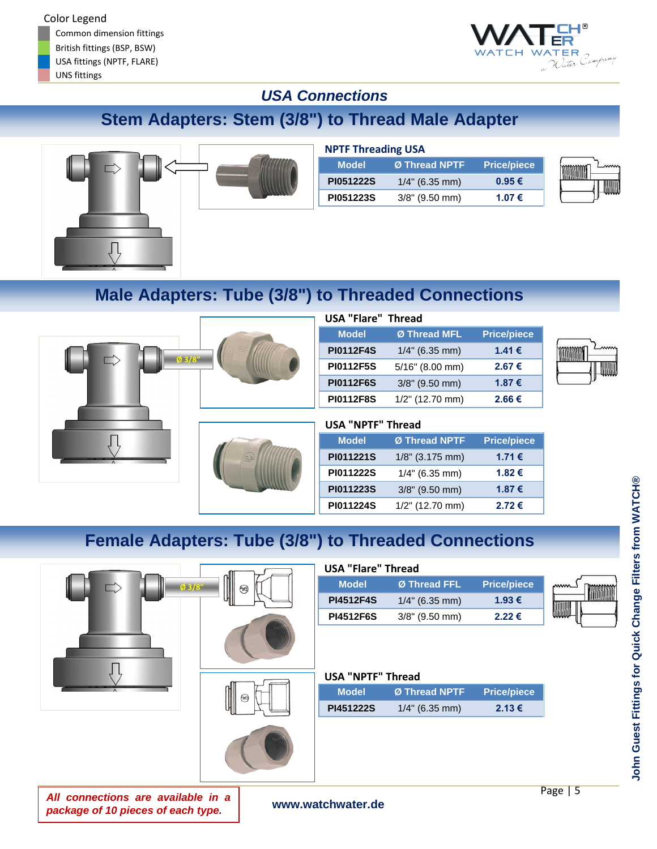Common dimension fittings British fittings (BSP, BSW) USA fittings (NPTF, FLARE) UNS fittings



## *USA Connections*

# **Stem Adapters: Stem (3/8") to Thread Male Adapter**



| <b>NPTF Threading USA</b> |                             |                    |  |
|---------------------------|-----------------------------|--------------------|--|
| <b>Model</b>              | ≀Ø Thread NPTF <sup>।</sup> | <b>Price/piece</b> |  |
| PI051222S                 | $1/4$ " (6.35 mm)           | $0.95 \in$         |  |
| PI051223S                 | $3/8$ " (9.50 mm)           | 1.07 €             |  |

# **Male Adapters: Tube (3/8") to Threaded Connections**



| <b>USA "Flare" Thread</b> |                    |                    |
|---------------------------|--------------------|--------------------|
| <b>Model</b>              | Ø Thread MFL       | <b>Price/piece</b> |
| <b>PI0112F4S</b>          | $1/4$ " (6.35 mm)  | 1.41 €             |
| <b>PI0112F5S</b>          | $5/16$ " (8.00 mm) | 2.67€              |
| <b>PI0112F6S</b>          | $3/8$ " (9.50 mm)  | 1.87€              |
| <b>PI0112F8S</b>          | $1/2$ " (12.70 mm) | 2.66€              |

| <b>USA "NPTF" Thread</b> |                    |                    |
|--------------------------|--------------------|--------------------|
| <b>Model</b>             | Ø Thread NPTF      | <b>Price/piece</b> |
| PI011221S                | $1/8$ " (3.175 mm) | 1.71 €             |
| PI011222S                | $1/4"$ (6.35 mm)   | 1.82€              |
| PI011223S                | $3/8$ " (9.50 mm)  | 1.87€              |
| PI011224S                | 1/2" (12.70 mm)    | 2.72€              |

# **Female Adapters: Tube (3/8") to Threaded Connections**



| <b>USA "Flare" Thread</b> |                   |                    |  |
|---------------------------|-------------------|--------------------|--|
| <b>Model</b>              | Ø Thread FFL      | <b>Price/piece</b> |  |
| <b>PI4512F4S</b>          | $1/4$ " (6.35 mm) | 1.93 €             |  |
| <b>PI4512F6S</b>          | $3/8$ " (9.50 mm) | 2.22€              |  |

## **USA "NPTF" Thread**

| <b>Model</b>     | Ø Thread NPTF     | <b>Price/piece</b> |
|------------------|-------------------|--------------------|
| <b>PI451222S</b> | $1/4$ " (6.35 mm) | 2.13€              |

**John Guest Fittings for Quick Change Filters from WATCH®**

John Guest Fittings for Quick Change Filters from WATCH®

*All connections are available in a package of 10 pieces of each type.*

**www.watchwater.de**